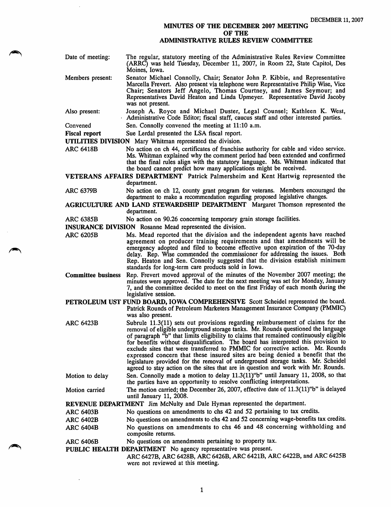## MINUTES OF THE DECEMBER 2007 MEETING OF THE

## ADMINISTRATIVE RULES REVIEW COMMITTEE

- Members present: Date of meeting: The regular, statutory meeting of the Administrative Rules Review Committee (ARRC) was held Tuesday, December 11, 2007, in Room 22, State Capitol, Des Moines, Iowa. Senator Michael Connolly, Chair; Senator John P. Kibbie, and Representative
- Marcella Frevert. Also present via telephone were Representative Philip Wise, Vice Chair; Senators Jeff Angelo, Thomas Courtney, and James Seymour; and Representatives David Heaton and Linda Upmeyer. Representative David Jacoby was not present.
- Also present: Joseph A. Royce and Michael Duster, Legal Counsel; Kathleen K. West, Administrative Code Editor; fiscal staff, caucus staff and other interested parties.
- Convened Sen. Connolly convened the meeting at 11:10 a.m.
- Fiscal report Sue Lerdal presented the LSA fiscal report.

UTILITIES DIVISION Mary Whitman represented the division.

ARC 6418B No action on ch 44, certificates of franchise authority for cable and video service. Ms. Whitman explained why the comment period had been extended and confirmed that the final rules align with the statutory language. Ms. Whitman indicated that the board cannot predict how many applications might be received.

VETERANS AFFAIRS DEPARTMENT Patrick Palmersheim and Kent Hartwig represented the department.

- ARC 6379B No action on ch 12, county grant program for veterans. Members encouraged the department to make a recommendation regarding proposed legislative changes.
- AGRICULTURE AND LAND STEWARDSHIP DEPARTMENT Margaret Thomson represented the department.

ARC 6385B No action on 90.26 concerning temporary grain storage facilities.

INSURANCE DIVISION Rosanne Mead represented the division.

- ARC 6205B Ms. Mead reported that the division and the independent agents have reached agreement on producer training requirements and that amendments will be emergency adopted and filed to become effective upon expiration of the 70-day delay. Rep. Wise commended the commissioner for addressing the issues. Both Rep. Heaton and Sen. Connolly suggested that the division establish minimum standards for long-term care products sold in Iowa.
- Committee business Rep. Frevert moved approval of the minutes of the November 2007 meeting; the minutes were approved. The date for the next meeting was set for Monday, January 7, and the committee decided to meet on the first Friday of each month during the legislative session.
- PETROLEUM UST FUND BOARD, IOWA COMPREHENSIVE Scott Scheidel represented the board. Patrick Rounds of Petroleum Marketers Management Insurance Company (PMMIC) was also present.
- ARC 6423B Subrule 11.3(11) sets out provisions regarding reimbursement of claims for the removal of eligible underground storage tanks. Mr. Rounds questioned the language of paragraph "b" that limits eligibility to claims that remained continuously eligible for benefits without disqualification. The board has interpreted this provision to exclude sites that were transferred to PMMIC for corrective action. Mr. Rounds expressed concern that these insured sites are being denied a benefit that the legislature provided for the removal of underground storage tanks. Mr. Scheidel agreed to stay action on the sites that are in question and work with Mr. Rounds.
- Motion to delay Sen. Connolly made a motion to delay 11.3(11)"b" until January 11, 2008, so that the parties have an opportunity to resolve conflicting interpretations.
- Motion carried The motion carried; the December 26, 2007, effective date of 11.3(11) "b" is delayed until January 11, 2008.

REVENUE DEPARTMENT Jim McNulty and Dale Hyman represented the department.

- ARC 6403B No questions on amendments to chs 42 and 52 pertaining to tax credits.
- ARC 6402B No questions on amendments to chs 42 and 52 concerning wage-benefits tax credits.
- ARC 6404B No questions on amendments to chs 46 and 48 concerning withholding and composite returns.

ARC 6406B No questions on amendments pertaining to property tax.

PUBLIC HEALTH DEPARTMENT No agency representative was present.

ARC 6427B, ARC 6428B, ARC 6426B, ARC 6421B, ARC 6422B, and ARC 6425B were not reviewed at this meeting.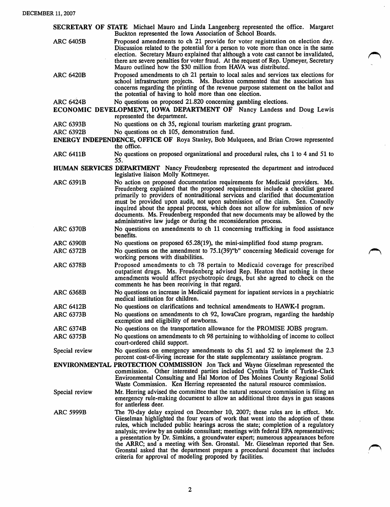|                                                                                                                                                             | SECRETARY OF STATE Michael Mauro and Linda Langenberg represented the office. Margaret<br>Buckton represented the Iowa Association of School Boards.                                                                                                                                                                                                                                                                                                                                                                                                                                                                                                                 |
|-------------------------------------------------------------------------------------------------------------------------------------------------------------|----------------------------------------------------------------------------------------------------------------------------------------------------------------------------------------------------------------------------------------------------------------------------------------------------------------------------------------------------------------------------------------------------------------------------------------------------------------------------------------------------------------------------------------------------------------------------------------------------------------------------------------------------------------------|
| <b>ARC 6405B</b>                                                                                                                                            | Proposed amendments to ch 21 provide for voter registration on election day.<br>Discussion related to the potential for a person to vote more than once in the same<br>election. Secretary Mauro explained that although a vote cast cannot be invalidated,<br>there are severe penalties for voter fraud. At the request of Rep. Upmeyer, Secretary<br>Mauro outlined how the \$30 million from HAVA was distributed.                                                                                                                                                                                                                                               |
| <b>ARC 6420B</b>                                                                                                                                            | Proposed amendments to ch 21 pertain to local sales and services tax elections for<br>school infrastructure projects. Ms. Buckton commented that the association has<br>concerns regarding the printing of the revenue purpose statement on the ballot and<br>the potential of having to hold more than one election.                                                                                                                                                                                                                                                                                                                                                |
| No questions on proposed 21.820 concerning gambling elections.<br><b>ARC 6424B</b><br>ECONOMIC DEVELOPMENT, IOWA DEPARTMENT OF Nancy Landess and Doug Lewis |                                                                                                                                                                                                                                                                                                                                                                                                                                                                                                                                                                                                                                                                      |
|                                                                                                                                                             | represented the department.                                                                                                                                                                                                                                                                                                                                                                                                                                                                                                                                                                                                                                          |
| <b>ARC 6393B</b>                                                                                                                                            | No questions on ch 35, regional tourism marketing grant program.                                                                                                                                                                                                                                                                                                                                                                                                                                                                                                                                                                                                     |
| <b>ARC 6392B</b>                                                                                                                                            | No questions on ch 105, demonstration fund.                                                                                                                                                                                                                                                                                                                                                                                                                                                                                                                                                                                                                          |
|                                                                                                                                                             | <b>ENERGY INDEPENDENCE, OFFICE OF Roya Stanley, Bob Mulqueen, and Brian Crowe represented</b><br>the office.                                                                                                                                                                                                                                                                                                                                                                                                                                                                                                                                                         |
| <b>ARC 6411B</b>                                                                                                                                            | No questions on proposed organizational and procedural rules, chs 1 to 4 and 51 to<br>55.                                                                                                                                                                                                                                                                                                                                                                                                                                                                                                                                                                            |
|                                                                                                                                                             | HUMAN SERVICES DEPARTMENT Nancy Freudenberg represented the department and introduced<br>legislative liaison Molly Kottmeyer.                                                                                                                                                                                                                                                                                                                                                                                                                                                                                                                                        |
| <b>ARC 6391B</b>                                                                                                                                            | No action on proposed documentation requirements for Medicaid providers. Ms.<br>Freudenberg explained that the proposed requirements include a checklist geared<br>primarily to providers of nontraditional services and clarified that documentation<br>must be provided upon audit, not upon submission of the claim. Sen. Connolly<br>inquired about the appeal process, which does not allow for submission of new<br>documents. Ms. Freudenberg responded that new documents may be allowed by the<br>administrative law judge or during the reconsideration process.                                                                                           |
| <b>ARC 6370B</b>                                                                                                                                            | No questions on amendments to ch 11 concerning trafficking in food assistance<br>benefits.                                                                                                                                                                                                                                                                                                                                                                                                                                                                                                                                                                           |
| <b>ARC 6390B</b>                                                                                                                                            | No questions on proposed 65.28(19), the mini-simplified food stamp program.                                                                                                                                                                                                                                                                                                                                                                                                                                                                                                                                                                                          |
| <b>ARC 6372B</b>                                                                                                                                            | No questions on the amendment to 75.1(39)"b" concerning Medicaid coverage for<br>working persons with disabilities.                                                                                                                                                                                                                                                                                                                                                                                                                                                                                                                                                  |
| <b>ARC 6378B</b>                                                                                                                                            | Proposed amendments to ch 78 pertain to Medicaid coverage for prescribed<br>outpatient drugs. Ms. Freudenberg advised Rep. Heaton that nothing in these<br>amendments would affect psychotropic drugs, but she agreed to check on the<br>comments he has been receiving in that regard.                                                                                                                                                                                                                                                                                                                                                                              |
| <b>ARC 6368B</b>                                                                                                                                            | No questions on increase in Medicaid payment for inpatient services in a psychiatric<br>medical institution for children.                                                                                                                                                                                                                                                                                                                                                                                                                                                                                                                                            |
| <b>ARC 6412B</b>                                                                                                                                            | No questions on clarifications and technical amendments to HAWK-I program.                                                                                                                                                                                                                                                                                                                                                                                                                                                                                                                                                                                           |
| <b>ARC 6373B</b>                                                                                                                                            | No questions on amendments to ch 92, IowaCare program, regarding the hardship<br>exemption and eligibility of newborns.                                                                                                                                                                                                                                                                                                                                                                                                                                                                                                                                              |
| <b>ARC 6374B</b>                                                                                                                                            | No questions on the transportation allowance for the PROMISE JOBS program.                                                                                                                                                                                                                                                                                                                                                                                                                                                                                                                                                                                           |
| <b>ARC 6375B</b>                                                                                                                                            | No questions on amendments to ch 98 pertaining to withholding of income to collect<br>court-ordered child support.                                                                                                                                                                                                                                                                                                                                                                                                                                                                                                                                                   |
| Special review                                                                                                                                              | No questions on emergency amendments to chs 51 and 52 to implement the 2.3<br>percent cost-of-living increase for the state supplementary assistance program.                                                                                                                                                                                                                                                                                                                                                                                                                                                                                                        |
|                                                                                                                                                             | <b>ENVIRONMENTAL PROTECTION COMMISSION</b> Jon Tack and Wayne Gieselman represented the<br>commission. Other interested parties included Cynthia Turkle of Turkle-Clark<br>Environmental Consulting and Hal Morton of Des Moines County Regional Solid<br>Waste Commission. Ken Herring represented the natural resource commission.                                                                                                                                                                                                                                                                                                                                 |
| Special review                                                                                                                                              | Mr. Herring advised the committee that the natural resource commission is filing an<br>emergency rule-making document to allow an additional three days in gun seasons<br>for antierless deer.                                                                                                                                                                                                                                                                                                                                                                                                                                                                       |
| <b>ARC 5999B</b>                                                                                                                                            | The 70-day delay expired on December 10, 2007; these rules are in effect. Mr.<br>Gieselman highlighted the four years of work that went into the adoption of these<br>rules, which included public hearings across the state; completion of a regulatory<br>analysis; review by an outside consultant; meetings with federal EPA representatives;<br>a presentation by Dr. Simkins, a groundwater expert; numerous appearances before<br>the ARRC; and a meeting with Sen. Gronstal. Mr. Gieselman reported that Sen.<br>Gronstal asked that the department prepare a procedural document that includes<br>criteria for approval of modeling proposed by facilities. |

 $\hat{\boldsymbol{\beta}}$ 

 $\hat{\mathcal{A}}$